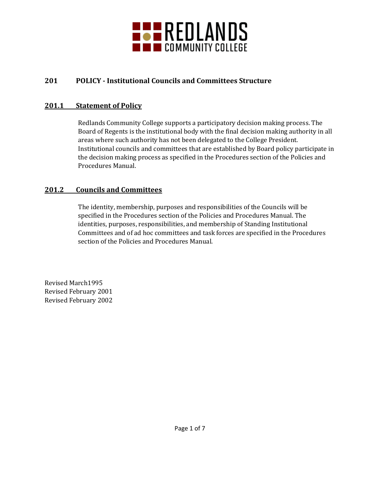

# **201 POLICY - Institutional Councils and Committees Structure**

## **201.1 Statement of Policy**

Redlands Community College supports a participatory decision making process. The Board of Regents is the institutional body with the final decision making authority in all areas where such authority has not been delegated to the College President. Institutional councils and committees that are established by Board policy participate in the decision making process as specified in the Procedures section of the Policies and Procedures Manual.

## **201.2 Councils and Committees**

The identity, membership, purposes and responsibilities of the Councils will be specified in the Procedures section of the Policies and Procedures Manual. The identities, purposes, responsibilities, and membership of Standing Institutional Committees and of ad hoc committees and task forces are specified in the Procedures section of the Policies and Procedures Manual.

Revised March1995 Revised February 2001 Revised February 2002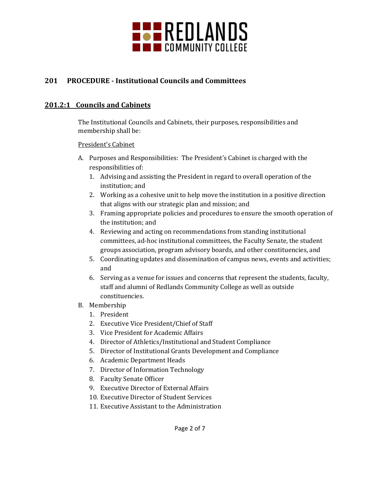

# **201 PROCEDURE - Institutional Councils and Committees**

## **201.2:1 Councils and Cabinets**

The Institutional Councils and Cabinets, their purposes, responsibilities and membership shall be:

#### President's Cabinet

- A. Purposes and Responsibilities: The President's Cabinet is charged with the responsibilities of:
	- 1. Advising and assisting the President in regard to overall operation of the institution; and
	- 2. Working as a cohesive unit to help move the institution in a positive direction that aligns with our strategic plan and mission; and
	- 3. Framing appropriate policies and procedures to ensure the smooth operation of the institution; and
	- 4. Reviewing and acting on recommendations from standing institutional committees, ad-hoc institutional committees, the Faculty Senate, the student groups association, program advisory boards, and other constituencies, and
	- 5. Coordinating updates and dissemination of campus news, events and activities; and
	- 6. Serving as a venue for issues and concerns that represent the students, faculty, staff and alumni of Redlands Community College as well as outside constituencies.
- B. Membership
	- 1. President
	- 2. Executive Vice President/Chief of Staff
	- 3. Vice President for Academic Affairs
	- 4. Director of Athletics/Institutional and Student Compliance
	- 5. Director of Institutional Grants Development and Compliance
	- 6. Academic Department Heads
	- 7. Director of Information Technology
	- 8. Faculty Senate Officer
	- 9. Executive Director of External Affairs
	- 10. Executive Director of Student Services
	- 11. Executive Assistant to the Administration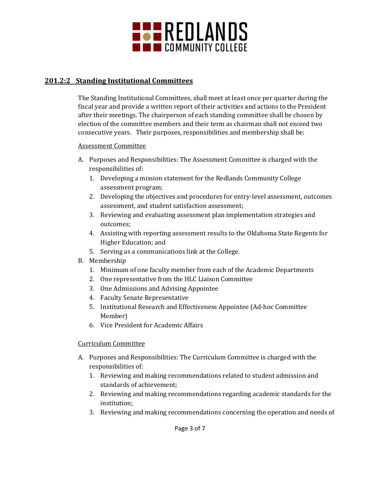

## **201.2:2 Standing Institutional Committees**

The Standing Institutional Committees, shall meet at least once per quarter during the fiscal year and provide a written report of their activities and actions to the President after their meetings. The chairperson of each standing committee shall be chosen by election of the committee members and their term as chairman shall not exceed two consecutive years. Their purposes, responsibilities and membership shall be:

#### Assessment Committee

- A. Purposes and Responsibilities: The Assessment Committee is charged with the responsibilities of:
	- 1. Developing a mission statement for the Redlands Community College assessment program;
	- 2. Developing the objectives and procedures for entry-level assessment, outcomes assessment, and student satisfaction assessment;
	- 3. Reviewing and evaluating assessment plan implementation strategies and outcomes;
	- 4. Assisting with reporting assessment results to the Oklahoma State Regents for Higher Education; and
	- 5. Serving as a communications link at the College.
- B. Membership
	- 1. Minimum of one faculty member from each of the Academic Departments
	- 2. One representative from the HLC Liaison Committee
	- 3. One Admissions and Advising Appointee
	- 4. Faculty Senate Representative
	- 5. Institutional Research and Effectiveness Appointee (Ad-hoc Committee Member)
	- 6. Vice President for Academic Affairs

#### Curriculum Committee

- A. Purposes and Responsibilities: The Curriculum Committee is charged with the responsibilities of:
	- 1. Reviewing and making recommendations related to student admission and standards of achievement;
	- 2. Reviewing and making recommendations regarding academic standards for the institution;
	- 3. Reviewing and making recommendations concerning the operation and needs of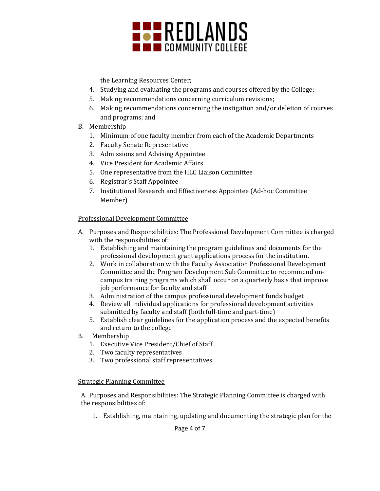

the Learning Resources Center;

- 4. Studying and evaluating the programs and courses offered by the College;
- 5. Making recommendations concerning curriculum revisions;
- 6. Making recommendations concerning the instigation and/or deletion of courses and programs; and
- B. Membership
	- 1. Minimum of one faculty member from each of the Academic Departments
	- 2. Faculty Senate Representative
	- 3. Admissions and Advising Appointee
	- 4. Vice President for Academic Affairs
	- 5. One representative from the HLC Liaison Committee
	- 6. Registrar's Staff Appointee
	- 7. Institutional Research and Effectiveness Appointee (Ad-hoc Committee Member)

#### Professional Development Committee

- A. Purposes and Responsibilities: The Professional Development Committee is charged with the responsibilities of:
	- 1. Establishing and maintaining the program guidelines and documents for the professional development grant applications process for the institution.
	- 2. Work in collaboration with the Faculty Association Professional Development Committee and the Program Development Sub Committee to recommend oncampus training programs which shall occur on a quarterly basis that improve job performance for faculty and staff
	- 3. Administration of the campus professional development funds budget
	- 4. Review all individual applications for professional development activities submitted by faculty and staff (both full-time and part-time)
	- 5. Establish clear guidelines for the application process and the expected benefits and return to the college
- B. Membership
	- 1. Executive Vice President/Chief of Staff
	- 2. Two faculty representatives
	- 3. Two professional staff representatives

#### Strategic Planning Committee

A. Purposes and Responsibilities: The Strategic Planning Committee is charged with the responsibilities of:

1. Establishing, maintaining, updating and documenting the strategic plan for the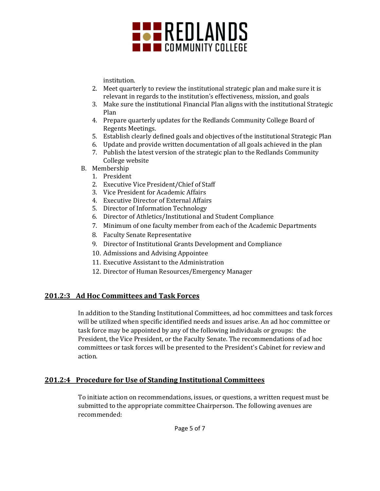

institution.

- 2. Meet quarterly to review the institutional strategic plan and make sure it is relevant in regards to the institution's effectiveness, mission, and goals
- 3. Make sure the institutional Financial Plan aligns with the institutional Strategic Plan
- 4. Prepare quarterly updates for the Redlands Community College Board of Regents Meetings.
- 5. Establish clearly defined goals and objectives of the institutional Strategic Plan
- 6. Update and provide written documentation of all goals achieved in the plan
- 7. Publish the latest version of the strategic plan to the Redlands Community College website
- B. Membership
	- 1. President
	- 2. Executive Vice President/Chief of Staff
	- 3. Vice President for Academic Affairs
	- 4. Executive Director of External Affairs
	- 5. Director of Information Technology
	- 6. Director of Athletics/Institutional and Student Compliance
	- 7. Minimum of one faculty member from each of the Academic Departments
	- 8. Faculty Senate Representative
	- 9. Director of Institutional Grants Development and Compliance
	- 10. Admissions and Advising Appointee
	- 11. Executive Assistant to the Administration
	- 12. Director of Human Resources/Emergency Manager

## **201.2:3 Ad Hoc Committees and Task Forces**

In addition to the Standing Institutional Committees, ad hoc committees and task forces will be utilized when specific identified needs and issues arise. An ad hoc committee or task force may be appointed by any of the following individuals or groups: the President, the Vice President, or the Faculty Senate. The recommendations of ad hoc committees or task forces will be presented to the President's Cabinet for review and action.

## **201.2:4 Procedure for Use of Standing Institutional Committees**

To initiate action on recommendations, issues, or questions, a written request must be submitted to the appropriate committee Chairperson. The following avenues are recommended: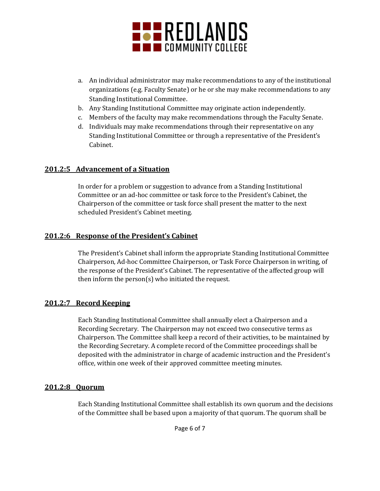

- a. An individual administrator may make recommendations to any of the institutional organizations (e.g. Faculty Senate) or he or she may make recommendations to any Standing Institutional Committee.
- b. Any Standing Institutional Committee may originate action independently.
- c. Members of the faculty may make recommendations through the Faculty Senate.
- d. Individuals may make recommendations through their representative on any Standing Institutional Committee or through a representative of the President's Cabinet.

#### **201.2:5 Advancement of a Situation**

In order for a problem or suggestion to advance from a Standing Institutional Committee or an ad-hoc committee or task force to the President's Cabinet, the Chairperson of the committee or task force shall present the matter to the next scheduled President's Cabinet meeting.

#### **201.2:6 Response of the President's Cabinet**

The President's Cabinet shall inform the appropriate Standing Institutional Committee Chairperson, Ad-hoc Committee Chairperson, or Task Force Chairperson in writing, of the response of the President's Cabinet. The representative of the affected group will then inform the person(s) who initiated the request.

#### **201.2:7 Record Keeping**

Each Standing Institutional Committee shall annually elect a Chairperson and a Recording Secretary. The Chairperson may not exceed two consecutive terms as Chairperson. The Committee shall keep a record of their activities, to be maintained by the Recording Secretary. A complete record of the Committee proceedings shall be deposited with the administrator in charge of academic instruction and the President's office, within one week of their approved committee meeting minutes.

#### **201.2:8 Quorum**

Each Standing Institutional Committee shall establish its own quorum and the decisions of the Committee shall be based upon a majority of that quorum. The quorum shall be